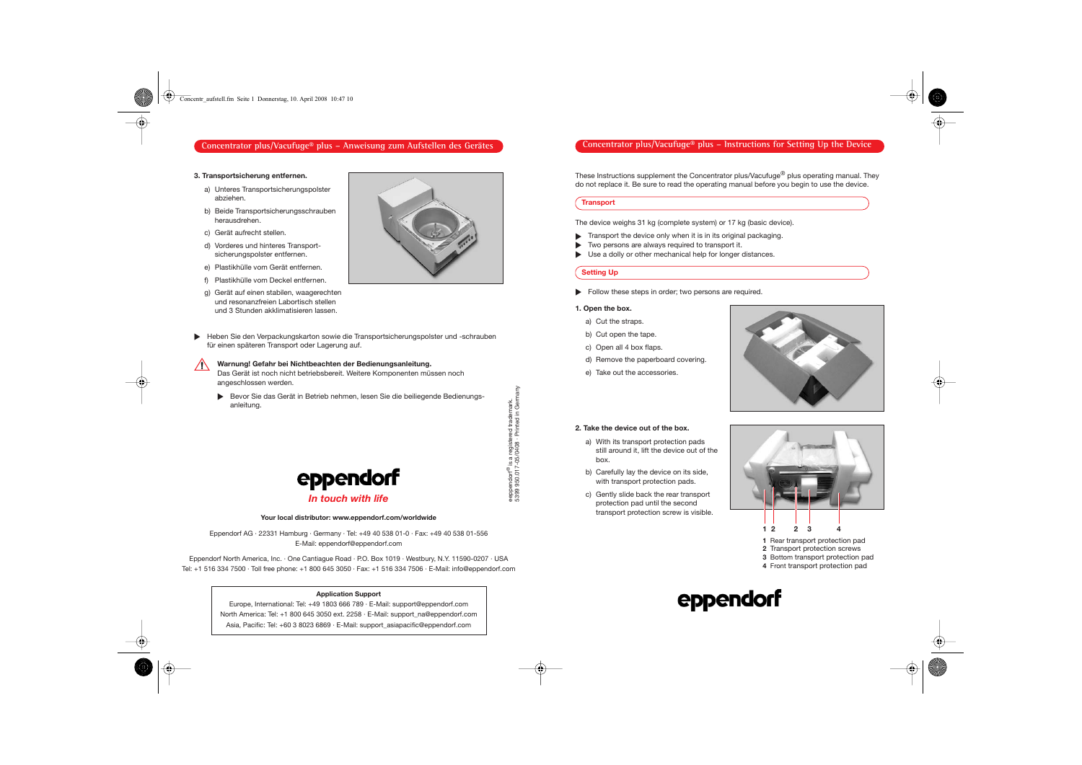## Concentrator plus/Vacufuge® plus – Instructions for Setting Up the Device

These Instructions supplement the Concentrator plus/Vacufuge<sup>®</sup> plus operating manual. They do not replace it. Be sure to read the operating manual before you begin to use the device.

#### **Transport**

The device weighs 31 kg (complete system) or 17 kg (basic device).

- Transport the device only when it is in its original packaging. ▲
- Two persons are always required to transport it. ▲
- Use a dolly or other mechanical help for longer distances. ▲

## **Setting Up**

**• Follow these steps in order; two persons are required.** 

## **1. Open the box.**

- a) Cut the straps.
- b) Cut open the tape.
- c) Open all 4 box flaps.
- d) Remove the paperboard covering.
- e) Take out the accessories.



#### **2. Take the device out of the box.**

- a) With its transport protection pads still around it, lift the device out of the box.
- b) Carefully lay the device on its side, with transport protection pads.
- c) Gently slide back the rear transport protection pad until the second transport protection screw is visible.



- **1 2 2 3 4**
- **1** Rear transport protection pad
- **2** Transport protection screws
- **3** Bottom transport protection pad
- **4** Front transport protection pad

# eppendorf